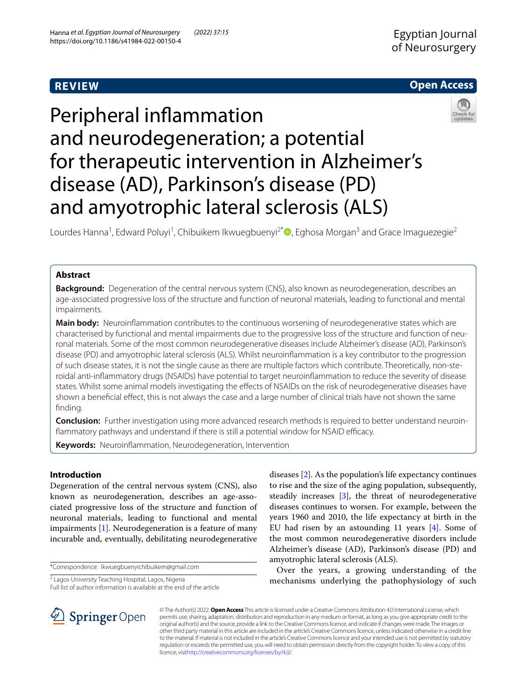# **REVIEW**

# **Open Access**

# Peripheral infammation and neurodegeneration; a potential for therapeutic intervention in Alzheimer's disease (AD), Parkinson's disease (PD) and amyotrophic lateral sclerosis (ALS)

Lourdes Hanna<sup>1</sup>, Edward Poluyi<sup>1</sup>, Chibuikem Ikwuegbuenyi<sup>2[\\*](http://orcid.org/0000-0003-3646-7713)</sup> (D, Eghosa Morgan<sup>3</sup> and Grace Imaguezegie<sup>2</sup>

# **Abstract**

**Background:** Degeneration of the central nervous system (CNS), also known as neurodegeneration, describes an age-associated progressive loss of the structure and function of neuronal materials, leading to functional and mental impairments.

Main body: Neuroinflammation contributes to the continuous worsening of neurodegenerative states which are characterised by functional and mental impairments due to the progressive loss of the structure and function of neuronal materials. Some of the most common neurodegenerative diseases include Alzheimer's disease (AD), Parkinson's disease (PD) and amyotrophic lateral sclerosis (ALS). Whilst neuroinfammation is a key contributor to the progression of such disease states, it is not the single cause as there are multiple factors which contribute. Theoretically, non-steroidal anti-infammatory drugs (NSAIDs) have potential to target neuroinfammation to reduce the severity of disease states. Whilst some animal models investigating the efects of NSAIDs on the risk of neurodegenerative diseases have shown a benefcial efect, this is not always the case and a large number of clinical trials have not shown the same finding.

**Conclusion:** Further investigation using more advanced research methods is required to better understand neuroinflammatory pathways and understand if there is still a potential window for NSAID efficacy.

**Keywords:** Neuroinfammation, Neurodegeneration, Intervention

# **Introduction**

Degeneration of the central nervous system (CNS), also known as neurodegeneration, describes an age-associated progressive loss of the structure and function of neuronal materials, leading to functional and mental impairments [[1\]](#page-7-0). Neurodegeneration is a feature of many incurable and, eventually, debilitating neurodegenerative

\*Correspondence: Ikwuegbuenyichibuikem@gmail.com

<sup>2</sup> Lagos University Teaching Hospital, Lagos, Nigeria

Full list of author information is available at the end of the article

diseases [\[2](#page-7-1)]. As the population's life expectancy continues to rise and the size of the aging population, subsequently, steadily increases [\[3](#page-7-2)], the threat of neurodegenerative diseases continues to worsen. For example, between the years 1960 and 2010, the life expectancy at birth in the EU had risen by an astounding 11 years [\[4](#page-7-3)]. Some of the most common neurodegenerative disorders include Alzheimer's disease (AD), Parkinson's disease (PD) and amyotrophic lateral sclerosis (ALS).

Over the years, a growing understanding of the mechanisms underlying the pathophysiology of such



© The Author(s) 2022. **Open Access** This article is licensed under a Creative Commons Attribution 4.0 International License, which permits use, sharing, adaptation, distribution and reproduction in any medium or format, as long as you give appropriate credit to the original author(s) and the source, provide a link to the Creative Commons licence, and indicate if changes were made. The images or other third party material in this article are included in the article's Creative Commons licence, unless indicated otherwise in a credit line to the material. If material is not included in the article's Creative Commons licence and your intended use is not permitted by statutory regulation or exceeds the permitted use, you will need to obtain permission directly from the copyright holder. To view a copy of this licence, visi[thttp://creativecommons.org/licenses/by/4.0/](http://creativecommons.org/licenses/by/4.0/).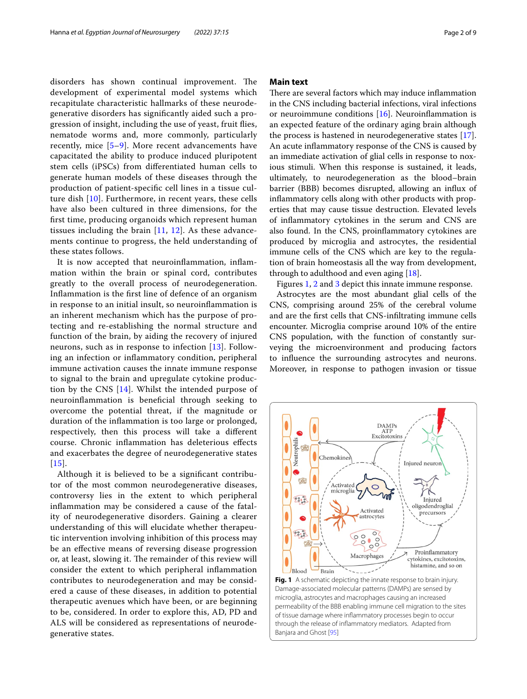disorders has shown continual improvement. The development of experimental model systems which recapitulate characteristic hallmarks of these neurodegenerative disorders has signifcantly aided such a progression of insight, including the use of yeast, fruit fies, nematode worms and, more commonly, particularly recently, mice [[5](#page-7-4)–[9](#page-7-5)]. More recent advancements have capacitated the ability to produce induced pluripotent stem cells (iPSCs) from diferentiated human cells to generate human models of these diseases through the production of patient-specifc cell lines in a tissue culture dish [[10\]](#page-7-6). Furthermore, in recent years, these cells have also been cultured in three dimensions, for the frst time, producing organoids which represent human tissues including the brain [\[11](#page-7-7), [12](#page-7-8)]. As these advancements continue to progress, the held understanding of these states follows.

It is now accepted that neuroinfammation, infammation within the brain or spinal cord, contributes greatly to the overall process of neurodegeneration. Infammation is the frst line of defence of an organism in response to an initial insult, so neuroinfammation is an inherent mechanism which has the purpose of protecting and re-establishing the normal structure and function of the brain, by aiding the recovery of injured neurons, such as in response to infection [[13\]](#page-7-9). Following an infection or infammatory condition, peripheral immune activation causes the innate immune response to signal to the brain and upregulate cytokine production by the CNS [[14\]](#page-7-10). Whilst the intended purpose of neuroinfammation is benefcial through seeking to overcome the potential threat, if the magnitude or duration of the infammation is too large or prolonged, respectively, then this process will take a diferent course. Chronic infammation has deleterious efects and exacerbates the degree of neurodegenerative states  $[15]$  $[15]$  $[15]$ .

Although it is believed to be a signifcant contributor of the most common neurodegenerative diseases, controversy lies in the extent to which peripheral infammation may be considered a cause of the fatality of neurodegenerative disorders. Gaining a clearer understanding of this will elucidate whether therapeutic intervention involving inhibition of this process may be an efective means of reversing disease progression or, at least, slowing it. The remainder of this review will consider the extent to which peripheral infammation contributes to neurodegeneration and may be considered a cause of these diseases, in addition to potential therapeutic avenues which have been, or are beginning to be, considered. In order to explore this, AD, PD and ALS will be considered as representations of neurodegenerative states.

## **Main text**

There are several factors which may induce inflammation in the CNS including bacterial infections, viral infections or neuroimmune conditions [[16](#page-7-12)]. Neuroinfammation is an expected feature of the ordinary aging brain although the process is hastened in neurodegenerative states [\[17](#page-7-13)]. An acute infammatory response of the CNS is caused by an immediate activation of glial cells in response to noxious stimuli. When this response is sustained, it leads, ultimately, to neurodegeneration as the blood–brain barrier (BBB) becomes disrupted, allowing an infux of infammatory cells along with other products with properties that may cause tissue destruction. Elevated levels of infammatory cytokines in the serum and CNS are also found. In the CNS, proinfammatory cytokines are produced by microglia and astrocytes, the residential immune cells of the CNS which are key to the regulation of brain homeostasis all the way from development, through to adulthood and even aging [\[18](#page-7-14)].

Figures [1,](#page-1-0) [2](#page-2-0) and [3](#page-2-1) depict this innate immune response.

Astrocytes are the most abundant glial cells of the CNS, comprising around 25% of the cerebral volume and are the frst cells that CNS-infltrating immune cells encounter. Microglia comprise around 10% of the entire CNS population, with the function of constantly surveying the microenvironment and producing factors to infuence the surrounding astrocytes and neurons. Moreover, in response to pathogen invasion or tissue

<span id="page-1-0"></span>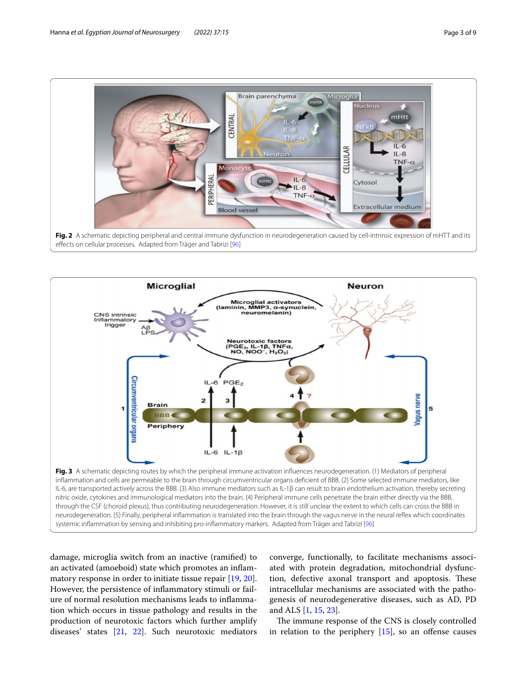

<span id="page-2-0"></span>

<span id="page-2-1"></span>damage, microglia switch from an inactive (ramifed) to an activated (amoeboid) state which promotes an infammatory response in order to initiate tissue repair [[19,](#page-7-15) [20](#page-7-16)]. However, the persistence of infammatory stimuli or failure of normal resolution mechanisms leads to infammation which occurs in tissue pathology and results in the production of neurotoxic factors which further amplify diseases' states [\[21](#page-7-17), [22\]](#page-7-18). Such neurotoxic mediators

converge, functionally, to facilitate mechanisms associated with protein degradation, mitochondrial dysfunction, defective axonal transport and apoptosis. These intracellular mechanisms are associated with the pathogenesis of neurodegenerative diseases, such as AD, PD and ALS [\[1](#page-7-0), [15,](#page-7-11) [23](#page-7-19)].

The immune response of the CNS is closely controlled in relation to the periphery  $[15]$  $[15]$ , so an offense causes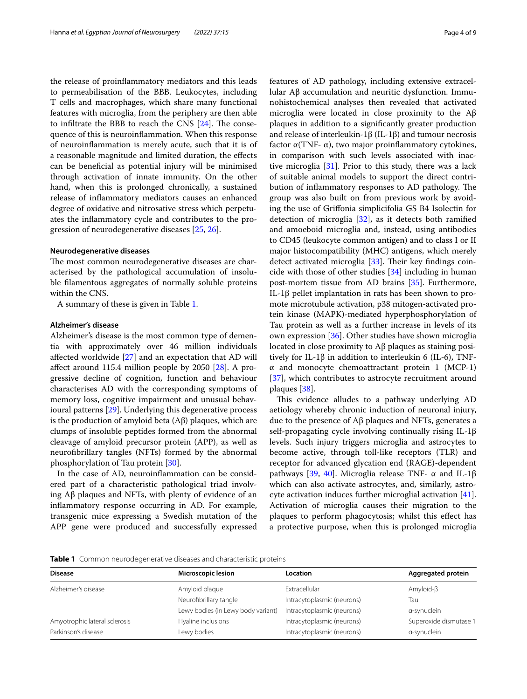the release of proinfammatory mediators and this leads to permeabilisation of the BBB. Leukocytes, including T cells and macrophages, which share many functional features with microglia, from the periphery are then able to infiltrate the BBB to reach the CNS  $[24]$  $[24]$ . The consequence of this is neuroinfammation. When this response of neuroinfammation is merely acute, such that it is of a reasonable magnitude and limited duration, the efects can be benefcial as potential injury will be minimised through activation of innate immunity. On the other hand, when this is prolonged chronically, a sustained release of infammatory mediators causes an enhanced degree of oxidative and nitrosative stress which perpetuates the infammatory cycle and contributes to the progression of neurodegenerative diseases [\[25](#page-7-21), [26](#page-7-22)].

#### <span id="page-3-1"></span>**Neurodegenerative diseases**

The most common neurodegenerative diseases are characterised by the pathological accumulation of insoluble flamentous aggregates of normally soluble proteins within the CNS.

A summary of these is given in Table [1.](#page-3-0)

#### **Alzheimer's disease**

Alzheimer's disease is the most common type of dementia with approximately over 46 million individuals afected worldwide [\[27](#page-7-23)] and an expectation that AD will afect around 115.4 million people by 2050 [[28\]](#page-7-24). A progressive decline of cognition, function and behaviour characterises AD with the corresponding symptoms of memory loss, cognitive impairment and unusual behavioural patterns [\[29](#page-7-25)]. Underlying this degenerative process is the production of amyloid beta (Aβ) plaques, which are clumps of insoluble peptides formed from the abnormal cleavage of amyloid precursor protein (APP), as well as neurofbrillary tangles (NFTs) formed by the abnormal phosphorylation of Tau protein [[30\]](#page-7-26).

In the case of AD, neuroinfammation can be considered part of a characteristic pathological triad involving Aβ plaques and NFTs, with plenty of evidence of an infammatory response occurring in AD. For example, transgenic mice expressing a Swedish mutation of the APP gene were produced and successfully expressed features of AD pathology, including extensive extracellular Aβ accumulation and neuritic dysfunction. Immunohistochemical analyses then revealed that activated microglia were located in close proximity to the Aβ plaques in addition to a signifcantly greater production and release of interleukin-1β (IL-1β) and tumour necrosis factor α(TNF- α), two major proinfammatory cytokines, in comparison with such levels associated with inactive microglia [[31\]](#page-7-27). Prior to this study, there was a lack of suitable animal models to support the direct contribution of inflammatory responses to AD pathology. The group was also built on from previous work by avoiding the use of Grifonia simplicifolia GS B4 Isolectin for detection of microglia [[32\]](#page-7-28), as it detects both ramifed and amoeboid microglia and, instead, using antibodies to CD45 (leukocyte common antigen) and to class I or II major histocompatibility (MHC) antigens, which merely detect activated microglia  $[33]$  $[33]$ . Their key findings coincide with those of other studies [\[34](#page-7-30)] including in human post-mortem tissue from AD brains [[35](#page-7-31)]. Furthermore, IL-1β pellet implantation in rats has been shown to promote microtubule activation, p38 mitogen-activated protein kinase (MAPK)-mediated hyperphosphorylation of Tau protein as well as a further increase in levels of its own expression [[36\]](#page-7-32). Other studies have shown microglia located in close proximity to Aβ plaques as staining positively for IL-1β in addition to interleukin 6 (IL-6), TNFα and monocyte chemoattractant protein 1 (MCP-1) [[37\]](#page-7-33), which contributes to astrocyte recruitment around plaques [\[38](#page-7-34)].

This evidence alludes to a pathway underlying AD aetiology whereby chronic induction of neuronal injury, due to the presence of Aβ plaques and NFTs, generates a self-propagating cycle involving continually rising IL-1β levels. Such injury triggers microglia and astrocytes to become active, through toll-like receptors (TLR) and receptor for advanced glycation end (RAGE)-dependent pathways [[39,](#page-7-35) [40\]](#page-7-36). Microglia release TNF- α and IL-1β which can also activate astrocytes, and, similarly, astrocyte activation induces further microglial activation [\[41](#page-7-37)]. Activation of microglia causes their migration to the plaques to perform phagocytosis; whilst this efect has a protective purpose, when this is prolonged microglia

<span id="page-3-0"></span>**Table 1** Common neurodegenerative diseases and characteristic proteins

| <b>Disease</b>                | Microscopic lesion                 | Location                   | Aggregated protein     |
|-------------------------------|------------------------------------|----------------------------|------------------------|
| Alzheimer's disease           | Amyloid plaque                     | Extracellular              | Amyloid- $\beta$       |
|                               | Neurofibrillary tangle             | Intracytoplasmic (neurons) | Tau                    |
|                               | Lewy bodies (in Lewy body variant) | Intracytoplasmic (neurons) | a-synuclein            |
| Amyotrophic lateral sclerosis | Hyaline inclusions                 | Intracytoplasmic (neurons) | Superoxide dismutase 1 |
| Parkinson's disease           | Lewy bodies                        | Intracytoplasmic (neurons) | a-synuclein            |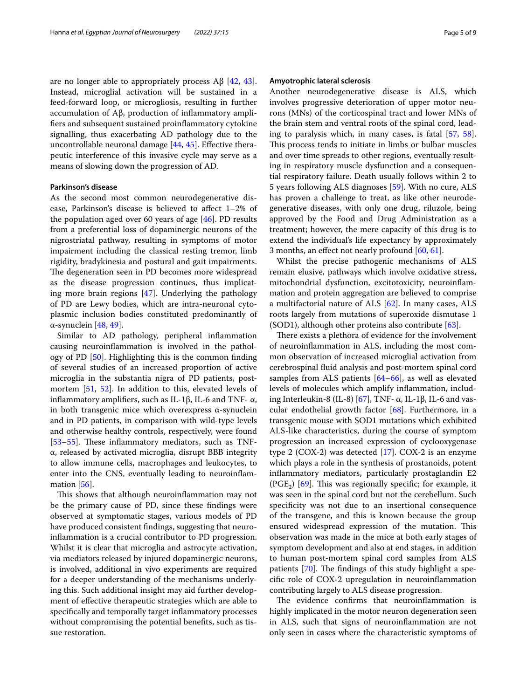are no longer able to appropriately process  $\text{A}\beta$  [[42,](#page-7-38) [43](#page-7-39)]. Instead, microglial activation will be sustained in a feed-forward loop, or microgliosis, resulting in further accumulation of Aβ, production of infammatory amplifers and subsequent sustained proinfammatory cytokine signalling, thus exacerbating AD pathology due to the uncontrollable neuronal damage [\[44](#page-7-40), [45\]](#page-7-41). Efective therapeutic interference of this invasive cycle may serve as a means of slowing down the progression of AD.

## **Parkinson's disease**

As the second most common neurodegenerative disease, Parkinson's disease is believed to affect 1–2% of the population aged over 60 years of age [[46\]](#page-7-42). PD results from a preferential loss of dopaminergic neurons of the nigrostriatal pathway, resulting in symptoms of motor impairment including the classical resting tremor, limb rigidity, bradykinesia and postural and gait impairments. The degeneration seen in PD becomes more widespread as the disease progression continues, thus implicating more brain regions [[47\]](#page-7-43). Underlying the pathology of PD are Lewy bodies, which are intra-neuronal cytoplasmic inclusion bodies constituted predominantly of α-synuclein [[48,](#page-7-44) [49](#page-7-45)].

Similar to AD pathology, peripheral infammation causing neuroinfammation is involved in the pathology of PD [[50\]](#page-7-46). Highlighting this is the common fnding of several studies of an increased proportion of active microglia in the substantia nigra of PD patients, postmortem [\[51,](#page-7-47) [52](#page-7-48)]. In addition to this, elevated levels of inflammatory amplifiers, such as IL-1β, IL-6 and TNF- $\alpha$ , in both transgenic mice which overexpress α-synuclein and in PD patients, in comparison with wild-type levels and otherwise healthy controls, respectively, were found [[53–](#page-8-2)[55](#page-8-3)]. These inflammatory mediators, such as TNFα, released by activated microglia, disrupt BBB integrity to allow immune cells, macrophages and leukocytes, to enter into the CNS, eventually leading to neuroinfammation  $[56]$  $[56]$ .

This shows that although neuroinflammation may not be the primary cause of PD, since these fndings were observed at symptomatic stages, various models of PD have produced consistent fndings, suggesting that neuroinfammation is a crucial contributor to PD progression. Whilst it is clear that microglia and astrocyte activation, via mediators released by injured dopaminergic neurons, is involved, additional in vivo experiments are required for a deeper understanding of the mechanisms underlying this. Such additional insight may aid further development of efective therapeutic strategies which are able to specifcally and temporally target infammatory processes without compromising the potential benefts, such as tissue restoration.

#### **Amyotrophic lateral sclerosis**

Another neurodegenerative disease is ALS, which involves progressive deterioration of upper motor neurons (MNs) of the corticospinal tract and lower MNs of the brain stem and ventral roots of the spinal cord, leading to paralysis which, in many cases, is fatal [\[57,](#page-8-5) [58](#page-8-6)]. This process tends to initiate in limbs or bulbar muscles and over time spreads to other regions, eventually resulting in respiratory muscle dysfunction and a consequential respiratory failure. Death usually follows within 2 to 5 years following ALS diagnoses [\[59](#page-8-7)]. With no cure, ALS has proven a challenge to treat, as like other neurodegenerative diseases, with only one drug, riluzole, being approved by the Food and Drug Administration as a treatment; however, the mere capacity of this drug is to extend the individual's life expectancy by approximately 3 months, an efect not nearly profound [\[60](#page-8-8), [61](#page-8-9)].

Whilst the precise pathogenic mechanisms of ALS remain elusive, pathways which involve oxidative stress, mitochondrial dysfunction, excitotoxicity, neuroinfammation and protein aggregation are believed to comprise a multifactorial nature of ALS [\[62](#page-8-10)]. In many cases, ALS roots largely from mutations of superoxide dismutase 1 (SOD1), although other proteins also contribute [[63\]](#page-8-11).

There exists a plethora of evidence for the involvement of neuroinfammation in ALS, including the most common observation of increased microglial activation from cerebrospinal fuid analysis and post-mortem spinal cord samples from ALS patients [[64–](#page-8-12)[66](#page-8-13)], as well as elevated levels of molecules which amplify infammation, includ-ing Interleukin-8 (IL-8) [\[67\]](#page-8-14), TNF- α, IL-1β, IL-6 and vascular endothelial growth factor [[68\]](#page-8-15). Furthermore, in a transgenic mouse with SOD1 mutations which exhibited ALS-like characteristics, during the course of symptom progression an increased expression of cyclooxygenase type 2 (COX-2) was detected [[17\]](#page-7-13). COX-2 is an enzyme which plays a role in the synthesis of prostanoids, potent infammatory mediators, particularly prostaglandin E2  $(PGE_2)$  [[69\]](#page-8-16). This was regionally specific; for example, it was seen in the spinal cord but not the cerebellum. Such specifcity was not due to an insertional consequence of the transgene, and this is known because the group ensured widespread expression of the mutation. This observation was made in the mice at both early stages of symptom development and also at end stages, in addition to human post-mortem spinal cord samples from ALS patients  $[70]$  $[70]$ . The findings of this study highlight a specifc role of COX-2 upregulation in neuroinfammation contributing largely to ALS disease progression.

The evidence confirms that neuroinflammation is highly implicated in the motor neuron degeneration seen in ALS, such that signs of neuroinfammation are not only seen in cases where the characteristic symptoms of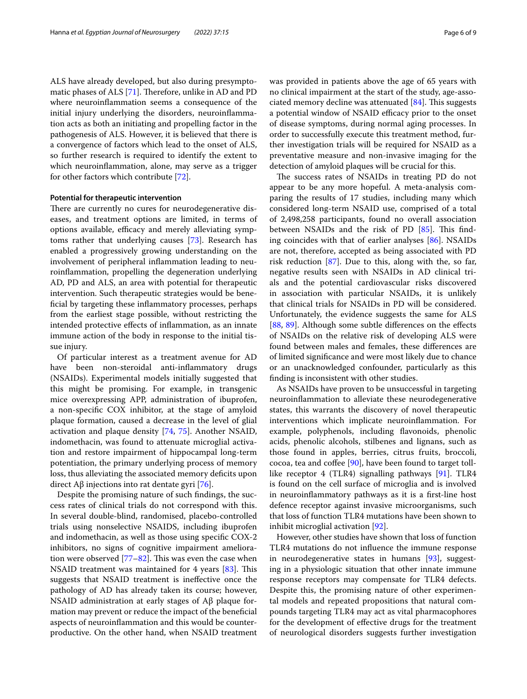ALS have already developed, but also during presymptomatic phases of ALS  $[71]$  $[71]$ . Therefore, unlike in AD and PD where neuroinfammation seems a consequence of the initial injury underlying the disorders, neuroinfammation acts as both an initiating and propelling factor in the pathogenesis of ALS. However, it is believed that there is a convergence of factors which lead to the onset of ALS, so further research is required to identify the extent to which neuroinfammation, alone, may serve as a trigger for other factors which contribute [\[72](#page-8-19)].

### **Potential for therapeutic intervention**

There are currently no cures for neurodegenerative diseases, and treatment options are limited, in terms of options available, efficacy and merely alleviating symptoms rather that underlying causes [\[73](#page-8-20)]. Research has enabled a progressively growing understanding on the involvement of peripheral infammation leading to neuroinfammation, propelling the degeneration underlying AD, PD and ALS, an area with potential for therapeutic intervention. Such therapeutic strategies would be benefcial by targeting these infammatory processes, perhaps from the earliest stage possible, without restricting the intended protective efects of infammation, as an innate immune action of the body in response to the initial tissue injury.

Of particular interest as a treatment avenue for AD have been non-steroidal anti-infammatory drugs (NSAIDs). Experimental models initially suggested that this might be promising. For example, in transgenic mice overexpressing APP, administration of ibuprofen, a non-specifc COX inhibitor, at the stage of amyloid plaque formation, caused a decrease in the level of glial activation and plaque density [\[74,](#page-8-21) [75\]](#page-8-22). Another NSAID, indomethacin, was found to attenuate microglial activation and restore impairment of hippocampal long-term potentiation, the primary underlying process of memory loss, thus alleviating the associated memory deficits upon direct Aβ injections into rat dentate gyri [\[76\]](#page-8-23).

Despite the promising nature of such fndings, the success rates of clinical trials do not correspond with this. In several double-blind, randomised, placebo-controlled trials using nonselective NSAIDS, including ibuprofen and indomethacin, as well as those using specifc COX-2 inhibitors, no signs of cognitive impairment amelioration were observed  $[77-82]$  $[77-82]$ . This was even the case when NSAID treatment was maintained for 4 years [\[83](#page-8-26)]. This suggests that NSAID treatment is inefective once the pathology of AD has already taken its course; however, NSAID administration at early stages of Aβ plaque formation may prevent or reduce the impact of the benefcial aspects of neuroinfammation and this would be counterproductive. On the other hand, when NSAID treatment was provided in patients above the age of 65 years with no clinical impairment at the start of the study, age-associated memory decline was attenuated  $[84]$ . This suggests a potential window of NSAID efficacy prior to the onset of disease symptoms, during normal aging processes. In order to successfully execute this treatment method, further investigation trials will be required for NSAID as a preventative measure and non-invasive imaging for the detection of amyloid plaques will be crucial for this.

The success rates of NSAIDs in treating PD do not appear to be any more hopeful. A meta-analysis comparing the results of 17 studies, including many which considered long-term NSAID use, comprised of a total of 2,498,258 participants, found no overall association between NSAIDs and the risk of PD  $[85]$ . This finding coincides with that of earlier analyses [[86\]](#page-8-29). NSAIDs are not, therefore, accepted as being associated with PD risk reduction [[87\]](#page-8-30). Due to this, along with the, so far, negative results seen with NSAIDs in AD clinical trials and the potential cardiovascular risks discovered in association with particular NSAIDs, it is unlikely that clinical trials for NSAIDs in PD will be considered. Unfortunately, the evidence suggests the same for ALS [[88,](#page-8-31) [89\]](#page-8-32). Although some subtle differences on the effects of NSAIDs on the relative risk of developing ALS were found between males and females, these diferences are of limited signifcance and were most likely due to chance or an unacknowledged confounder, particularly as this fnding is inconsistent with other studies.

As NSAIDs have proven to be unsuccessful in targeting neuroinfammation to alleviate these neurodegenerative states, this warrants the discovery of novel therapeutic interventions which implicate neuroinfammation. For example, polyphenols, including favonoids, phenolic acids, phenolic alcohols, stilbenes and lignans, such as those found in apples, berries, citrus fruits, broccoli,  $\alpha$  cocoa, tea and coffee [[90\]](#page-8-33), have been found to target tolllike receptor 4 (TLR4) signalling pathways [[91](#page-8-34)]. TLR4 is found on the cell surface of microglia and is involved in neuroinfammatory pathways as it is a frst-line host defence receptor against invasive microorganisms, such that loss of function TLR4 mutations have been shown to inhibit microglial activation [[92](#page-8-35)].

However, other studies have shown that loss of function TLR4 mutations do not infuence the immune response in neurodegenerative states in humans [\[93](#page-8-36)], suggesting in a physiologic situation that other innate immune response receptors may compensate for TLR4 defects. Despite this, the promising nature of other experimental models and repeated propositions that natural compounds targeting TLR4 may act as vital pharmacophores for the development of efective drugs for the treatment of neurological disorders suggests further investigation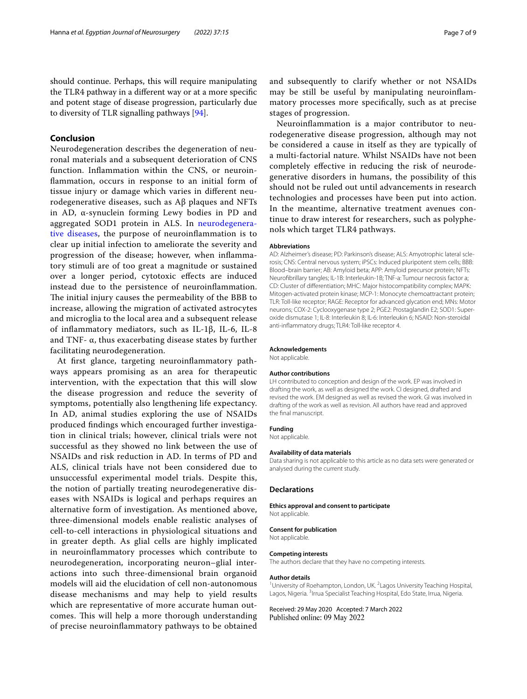should continue. Perhaps, this will require manipulating the TLR4 pathway in a diferent way or at a more specifc and potent stage of disease progression, particularly due to diversity of TLR signalling pathways [\[94\]](#page-8-37).

## **Conclusion**

Neurodegeneration describes the degeneration of neuronal materials and a subsequent deterioration of CNS function. Infammation within the CNS, or neuroinfammation, occurs in response to an initial form of tissue injury or damage which varies in diferent neurodegenerative diseases, such as Aβ plaques and NFTs in AD, α-synuclein forming Lewy bodies in PD and aggregated SOD1 protein in ALS. In [neurodegenera](#page-3-1)[tive diseases,](#page-3-1) the purpose of neuroinfammation is to clear up initial infection to ameliorate the severity and progression of the disease; however, when infammatory stimuli are of too great a magnitude or sustained over a longer period, cytotoxic efects are induced instead due to the persistence of neuroinfammation. The initial injury causes the permeability of the BBB to increase, allowing the migration of activated astrocytes and microglia to the local area and a subsequent release of infammatory mediators, such as IL-1β, IL-6, IL-8 and TNF- $\alpha$ , thus exacerbating disease states by further facilitating neurodegeneration.

At frst glance, targeting neuroinfammatory pathways appears promising as an area for therapeutic intervention, with the expectation that this will slow the disease progression and reduce the severity of symptoms, potentially also lengthening life expectancy. In AD, animal studies exploring the use of NSAIDs produced fndings which encouraged further investigation in clinical trials; however, clinical trials were not successful as they showed no link between the use of NSAIDs and risk reduction in AD. In terms of PD and ALS, clinical trials have not been considered due to unsuccessful experimental model trials. Despite this, the notion of partially treating neurodegenerative diseases with NSAIDs is logical and perhaps requires an alternative form of investigation. As mentioned above, three-dimensional models enable realistic analyses of cell-to-cell interactions in physiological situations and in greater depth. As glial cells are highly implicated in neuroinfammatory processes which contribute to neurodegeneration, incorporating neuron–glial interactions into such three-dimensional brain organoid models will aid the elucidation of cell non-autonomous disease mechanisms and may help to yield results which are representative of more accurate human outcomes. This will help a more thorough understanding of precise neuroinfammatory pathways to be obtained and subsequently to clarify whether or not NSAIDs may be still be useful by manipulating neuroinfammatory processes more specifcally, such as at precise stages of progression.

Neuroinfammation is a major contributor to neurodegenerative disease progression, although may not be considered a cause in itself as they are typically of a multi-factorial nature. Whilst NSAIDs have not been completely efective in reducing the risk of neurodegenerative disorders in humans, the possibility of this should not be ruled out until advancements in research technologies and processes have been put into action. In the meantime, alternative treatment avenues continue to draw interest for researchers, such as polyphenols which target TLR4 pathways.

#### **Abbreviations**

AD: Alzheimer's disease; PD: Parkinson's disease; ALS: Amyotrophic lateral sclerosis; CNS: Central nervous system; iPSCs: Induced pluripotent stem cells; BBB: Blood–brain barrier; AB: Amyloid beta; APP: Amyloid precursor protein; NFTs: Neurofbrillary tangles; IL-1B: Interleukin-1B; TNF-a: Tumour necrosis factor a; CD: Cluster of diferentiation; MHC: Major histocompatibility complex; MAPK: Mitogen-activated protein kinase; MCP-1: Monocyte chemoattractant protein; TLR: Toll-like receptor; RAGE: Receptor for advanced glycation end; MNs: Motor neurons; COX-2: Cyclooxygenase type 2; PGE2: Prostaglandin E2; SOD1: Superoxide dismutase 1; IL-8: Interleukin 8; IL-6: Interleukin 6; NSAID: Non-steroidal anti-infammatory drugs; TLR4: Toll-like receptor 4.

#### **Acknowledgements**

Not applicable.

#### **Author contributions**

LH contributed to conception and design of the work. EP was involved in drafting the work, as well as designed the work. CI designed, drafted and revised the work. EM designed as well as revised the work. GI was involved in drafting of the work as well as revision. All authors have read and approved the fnal manuscript.

#### **Funding**

Not applicable.

#### **Availability of data materials**

Data sharing is not applicable to this article as no data sets were generated or analysed during the current study.

#### **Declarations**

#### **Ethics approval and consent to participate**

Not applicable.

#### **Consent for publication**

Not applicable.

#### **Competing interests**

The authors declare that they have no competing interests.

#### **Author details**

<sup>1</sup> University of Roehampton, London, UK. <sup>2</sup> Lagos University Teaching Hospital, Lagos, Nigeria. <sup>3</sup> Irrua Specialist Teaching Hospital, Edo State, Irrua, Nigeria.

Received: 29 May 2020 Accepted: 7 March 2022Published online: 09 May 2022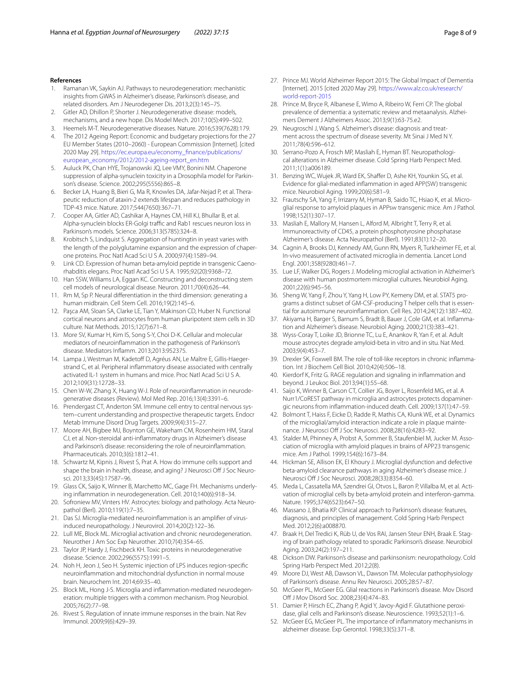#### **References**

- <span id="page-7-0"></span>1. Ramanan VK, Saykin AJ. Pathways to neurodegeneration: mechanistic insights from GWAS in Alzheimer's disease, Parkinson's disease, and related disorders. Am J Neurodegener Dis. 2013;2(3):145–75.
- <span id="page-7-1"></span>2. Gitler AD, Dhillon P, Shorter J. Neurodegenerative disease: models, mechanisms, and a new hope. Dis Model Mech. 2017;10(5):499–502.
- <span id="page-7-2"></span>3. Heemels M-T. Neurodegenerative diseases. Nature. 2016;539(7628):179.
- <span id="page-7-3"></span>4. The 2012 Ageing Report: Economic and budgetary projections for the 27 EU Member States (2010–2060) - European Commission [Internet]. [cited 2020 May 29]. [https://ec.europa.eu/economy\\_fnance/publications/](https://ec.europa.eu/economy_finance/publications/european_economy/2012/2012-ageing-report_en.htm) [european\\_economy/2012/2012-ageing-report\\_en.htm](https://ec.europa.eu/economy_finance/publications/european_economy/2012/2012-ageing-report_en.htm)
- <span id="page-7-4"></span>5. Auluck PK, Chan HYE, Trojanowski JQ, Lee VMY, Bonini NM. Chaperone suppression of alpha-synuclein toxicity in a Drosophila model for Parkinson's disease. Science. 2002;295(5556):865–8.
- 6. Becker LA, Huang B, Bieri G, Ma R, Knowles DA, Jafar-Nejad P, et al. Therapeutic reduction of ataxin-2 extends lifespan and reduces pathology in TDP-43 mice. Nature. 2017;544(7650):367–71.
- 7. Cooper AA, Gitler AD, Cashikar A, Haynes CM, Hill KJ, Bhullar B, et al. Alpha-synuclein blocks ER-Golgi traffic and Rab1 rescues neuron loss in Parkinson's models. Science. 2006;313(5785):324–8.
- 8. Krobitsch S, Lindquist S. Aggregation of huntingtin in yeast varies with the length of the polyglutamine expansion and the expression of chaperone proteins. Proc Natl Acad Sci U S A. 2000;97(4):1589–94.
- <span id="page-7-5"></span>9. Link CD. Expression of human beta-amyloid peptide in transgenic Caenorhabditis elegans. Proc Natl Acad Sci U S A. 1995;92(20):9368–72.
- <span id="page-7-6"></span>10. Han SSW, Williams LA, Eggan KC. Constructing and deconstructing stem cell models of neurological disease. Neuron. 2011;70(4):626–44.
- <span id="page-7-7"></span>11. Rm M, Sp P. Neural diferentiation in the third dimension: generating a human midbrain. Cell Stem Cell. 2016;19(2):145–6.
- <span id="page-7-8"></span>12. Paşca AM, Sloan SA, Clarke LE, Tian Y, Makinson CD, Huber N. Functional cortical neurons and astrocytes from human pluripotent stem cells in 3D culture. Nat Methods. 2015;12(7):671–8.
- <span id="page-7-9"></span>13. More SV, Kumar H, Kim IS, Song S-Y, Choi D-K. Cellular and molecular mediators of neuroinfammation in the pathogenesis of Parkinson's disease. Mediators Infamm. 2013;2013:952375.
- <span id="page-7-10"></span>14. Lampa J, Westman M, Kadetoff D, Agréus AN, Le Maître E, Gillis-Haegerstrand C, et al. Peripheral infammatory disease associated with centrally activated IL-1 system in humans and mice. Proc Natl Acad Sci U S A. 2012;109(31):12728–33.
- <span id="page-7-11"></span>15. Chen W-W, Zhang X, Huang W-J. Role of neuroinfammation in neurodegenerative diseases (Review). Mol Med Rep. 2016;13(4):3391–6.
- <span id="page-7-12"></span>16. Prendergast CT, Anderton SM. Immune cell entry to central nervous system–current understanding and prospective therapeutic targets. Endocr Metab Immune Disord Drug Targets. 2009;9(4):315–27.
- <span id="page-7-13"></span>17. Moore AH, Bigbee MJ, Boynton GE, Wakeham CM, Rosenheim HM, Staral CJ, et al. Non-steroidal anti-infammatory drugs in Alzheimer's disease and Parkinson's disease: reconsidering the role of neuroinfammation. Pharmaceuticals. 2010;3(6):1812–41.
- <span id="page-7-14"></span>18. Schwartz M, Kipnis J, Rivest S, Prat A. How do immune cells support and shape the brain in health, disease, and aging? J Neurosci Off J Soc Neurosci. 2013;33(45):17587–96.
- <span id="page-7-15"></span>19. Glass CK, Saijo K, Winner B, Marchetto MC, Gage FH. Mechanisms underlying infammation in neurodegeneration. Cell. 2010;140(6):918–34.
- <span id="page-7-16"></span>20. Sofroniew MV, Vinters HV. Astrocytes: biology and pathology. Acta Neuropathol (Berl). 2010;119(1):7–35.
- <span id="page-7-17"></span>21. Das SJ. Microglia-mediated neuroinfammation is an amplifer of virusinduced neuropathology. J Neurovirol. 2014;20(2):122–36.
- <span id="page-7-18"></span>22. Lull ME, Block ML. Microglial activation and chronic neurodegeneration. Neurother J Am Soc Exp Neurother. 2010;7(4):354–65.
- <span id="page-7-19"></span>23. Taylor JP, Hardy J, Fischbeck KH. Toxic proteins in neurodegenerative disease. Science. 2002;296(5575):1991–5.
- <span id="page-7-20"></span>24. Noh H, Jeon J, Seo H. Systemic injection of LPS induces region-specifc neuroinfammation and mitochondrial dysfunction in normal mouse brain. Neurochem Int. 2014;69:35–40.
- <span id="page-7-21"></span>25. Block ML, Hong J-S. Microglia and infammation-mediated neurodegeneration: multiple triggers with a common mechanism. Prog Neurobiol. 2005;76(2):77–98.
- <span id="page-7-22"></span>26. Rivest S. Regulation of innate immune responses in the brain. Nat Rev Immunol. 2009;9(6):429–39.
- <span id="page-7-23"></span>27. Prince MJ. World Alzheimer Report 2015: The Global Impact of Dementia [Internet]. 2015 [cited 2020 May 29]. [https://www.alz.co.uk/research/](https://www.alz.co.uk/research/world-report-2015) [world-report-2015](https://www.alz.co.uk/research/world-report-2015)
- <span id="page-7-24"></span>28. Prince M, Bryce R, Albanese E, Wimo A, Ribeiro W, Ferri CP. The global prevalence of dementia: a systematic review and metaanalysis. Alzheimers Dement J Alzheimers Assoc. 2013;9(1):63-75.e2.
- <span id="page-7-25"></span>29. Neugroschl J, Wang S. Alzheimer's disease: diagnosis and treatment across the spectrum of disease severity. Mt Sinai J Med N Y. 2011;78(4):596–612.
- <span id="page-7-26"></span>30. Serrano-Pozo A, Frosch MP, Masliah E, Hyman BT. Neuropathological alterations in Alzheimer disease. Cold Spring Harb Perspect Med. 2011;1(1):a006189.
- <span id="page-7-27"></span>31. Benzing WC, Wujek JR, Ward EK, Shaffer D, Ashe KH, Younkin SG, et al. Evidence for glial-mediated infammation in aged APP(SW) transgenic mice. Neurobiol Aging. 1999;20(6):581–9.
- <span id="page-7-28"></span>32. Frautschy SA, Yang F, Irrizarry M, Hyman B, Saido TC, Hsiao K, et al. Microglial response to amyloid plaques in APPsw transgenic mice. Am J Pathol. 1998;152(1):307–17.
- <span id="page-7-29"></span>33. Masliah E, Mallory M, Hansen L, Alford M, Albright T, Terry R, et al. Immunoreactivity of CD45, a protein phosphotyrosine phosphatase Alzheimer's disease. Acta Neuropathol (Berl). 1991;83(1):12–20.
- <span id="page-7-30"></span>34. Cagnin A, Brooks DJ, Kennedy AM, Gunn RN, Myers R, Turkheimer FE, et al. In-vivo measurement of activated microglia in dementia. Lancet Lond Engl. 2001;358(9280):461–7.
- <span id="page-7-31"></span>35. Lue LF, Walker DG, Rogers J. Modeling microglial activation in Alzheimer's disease with human postmortem microglial cultures. Neurobiol Aging. 2001;22(6):945–56.
- <span id="page-7-32"></span>36. Sheng W, Yang F, Zhou Y, Yang H, Low PY, Kemeny DM, et al. STAT5 programs a distinct subset of GM-CSF-producing T helper cells that is essential for autoimmune neuroinfammation. Cell Res. 2014;24(12):1387–402.
- <span id="page-7-33"></span>37. Akiyama H, Barger S, Barnum S, Bradt B, Bauer J, Cole GM, et al. Infammation and Alzheimer's disease. Neurobiol Aging. 2000;21(3):383–421.
- <span id="page-7-34"></span>38. Wyss-Coray T, Loike JD, Brionne TC, Lu E, Anankov R, Yan F, et al. Adult mouse astrocytes degrade amyloid-beta in vitro and in situ. Nat Med. 2003;9(4):453–7.
- <span id="page-7-35"></span>39. Drexler SK, Foxwell BM. The role of toll-like receptors in chronic infammation. Int J Biochem Cell Biol. 2010;42(4):506–18.
- <span id="page-7-36"></span>40. Kierdorf K, Fritz G. RAGE regulation and signaling in infammation and beyond. J Leukoc Biol. 2013;94(1):55–68.
- <span id="page-7-37"></span>41. Saijo K, Winner B, Carson CT, Collier JG, Boyer L, Rosenfeld MG, et al. A Nurr1/CoREST pathway in microglia and astrocytes protects dopaminergic neurons from infammation-induced death. Cell. 2009;137(1):47–59.
- <span id="page-7-38"></span>42. Bolmont T, Haiss F, Eicke D, Radde R, Mathis CA, Klunk WE, et al. Dynamics of the microglial/amyloid interaction indicate a role in plaque maintenance. J Neurosci Off J Soc Neurosci. 2008;28(16):4283-92.
- <span id="page-7-39"></span>43. Stalder M, Phinney A, Probst A, Sommer B, Staufenbiel M, Jucker M. Association of microglia with amyloid plaques in brains of APP23 transgenic mice. Am J Pathol. 1999;154(6):1673–84.
- <span id="page-7-40"></span>44. Hickman SE, Allison EK, El Khoury J. Microglial dysfunction and defective beta-amyloid clearance pathways in aging Alzheimer's disease mice. J Neurosci Of J Soc Neurosci. 2008;28(33):8354–60.
- <span id="page-7-41"></span>45. Meda L, Cassatella MA, Szendrei GI, Otvos L, Baron P, Villalba M, et al. Activation of microglial cells by beta-amyloid protein and interferon-gamma. Nature. 1995;374(6523):647–50.
- <span id="page-7-42"></span>46. Massano J, Bhatia KP. Clinical approach to Parkinson's disease: features, diagnosis, and principles of management. Cold Spring Harb Perspect Med. 2012;2(6):a008870.
- <span id="page-7-43"></span>47. Braak H, Del Tredici K, Rüb U, de Vos RAI, Jansen Steur ENH, Braak E. Staging of brain pathology related to sporadic Parkinson's disease. Neurobiol Aging. 2003;24(2):197–211.
- <span id="page-7-44"></span>48. Dickson DW. Parkinson's disease and parkinsonism: neuropathology. Cold Spring Harb Perspect Med. 2012;2(8).
- <span id="page-7-45"></span>49. Moore DJ, West AB, Dawson VL, Dawson TM. Molecular pathophysiology of Parkinson's disease. Annu Rev Neurosci. 2005;28:57–87.
- <span id="page-7-46"></span>50. McGeer PL, McGeer EG. Glial reactions in Parkinson's disease. Mov Disord Off J Mov Disord Soc. 2008;23(4):474-83.
- <span id="page-7-47"></span>51. Damier P, Hirsch EC, Zhang P, Agid Y, Javoy-Agid F. Glutathione peroxidase, glial cells and Parkinson's disease. Neuroscience. 1993;52(1):1–6.
- <span id="page-7-48"></span>52. McGeer EG, McGeer PL. The importance of infammatory mechanisms in alzheimer disease. Exp Gerontol. 1998;33(5):371–8.